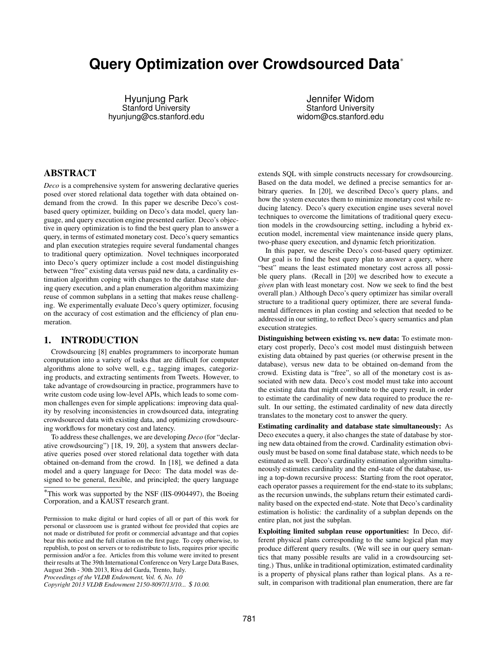# **Query Optimization over Crowdsourced Data**⇤

Hyunjung Park Stanford University hyunjung@cs.stanford.edu

Jennifer Widom Stanford University widom@cs.stanford.edu

## ABSTRACT

*Deco* is a comprehensive system for answering declarative queries posed over stored relational data together with data obtained ondemand from the crowd. In this paper we describe Deco's costbased query optimizer, building on Deco's data model, query language, and query execution engine presented earlier. Deco's objective in query optimization is to find the best query plan to answer a query, in terms of estimated monetary cost. Deco's query semantics and plan execution strategies require several fundamental changes to traditional query optimization. Novel techniques incorporated into Deco's query optimizer include a cost model distinguishing between "free" existing data versus paid new data, a cardinality estimation algorithm coping with changes to the database state during query execution, and a plan enumeration algorithm maximizing reuse of common subplans in a setting that makes reuse challenging. We experimentally evaluate Deco's query optimizer, focusing on the accuracy of cost estimation and the efficiency of plan enumeration.

#### <span id="page-0-0"></span>1. INTRODUCTION

Crowdsourcing [\[8\]](#page-11-0) enables programmers to incorporate human computation into a variety of tasks that are difficult for computer algorithms alone to solve well, e.g., tagging images, categorizing products, and extracting sentiments from Tweets. However, to take advantage of crowdsourcing in practice, programmers have to write custom code using low-level APIs, which leads to some common challenges even for simple applications: improving data quality by resolving inconsistencies in crowdsourced data, integrating crowdsourced data with existing data, and optimizing crowdsourcing workflows for monetary cost and latency.

To address these challenges, we are developing *Deco* (for "declarative crowdsourcing") [\[18,](#page-11-1) [19,](#page-11-2) [20\]](#page-11-3), a system that answers declarative queries posed over stored relational data together with data obtained on-demand from the crowd. In [\[18\]](#page-11-1), we defined a data model and a query language for Deco: The data model was designed to be general, flexible, and principled; the query language

*Proceedings of the VLDB Endowment, Vol. 6, No. 10*

*Copyright 2013 VLDB Endowment 2150-8097/13/10... \$ 10.00.*

extends SQL with simple constructs necessary for crowdsourcing. Based on the data model, we defined a precise semantics for arbitrary queries. In [\[20\]](#page-11-3), we described Deco's query plans, and how the system executes them to minimize monetary cost while reducing latency. Deco's query execution engine uses several novel techniques to overcome the limitations of traditional query execution models in the crowdsourcing setting, including a hybrid execution model, incremental view maintenance inside query plans, two-phase query execution, and dynamic fetch prioritization.

In this paper, we describe Deco's cost-based query optimizer. Our goal is to find the best query plan to answer a query, where "best" means the least estimated monetary cost across all possible query plans. (Recall in [\[20\]](#page-11-3) we described how to execute a *given* plan with least monetary cost. Now we seek to find the best overall plan.) Although Deco's query optimizer has similar overall structure to a traditional query optimizer, there are several fundamental differences in plan costing and selection that needed to be addressed in our setting, to reflect Deco's query semantics and plan execution strategies.

Distinguishing between existing vs. new data: To estimate monetary cost properly, Deco's cost model must distinguish between existing data obtained by past queries (or otherwise present in the database), versus new data to be obtained on-demand from the crowd. Existing data is "free", so all of the monetary cost is associated with new data. Deco's cost model must take into account the existing data that might contribute to the query result, in order to estimate the cardinality of new data required to produce the result. In our setting, the estimated cardinality of new data directly translates to the monetary cost to answer the query.

Estimating cardinality and database state simultaneously: As Deco executes a query, it also changes the state of database by storing new data obtained from the crowd. Cardinality estimation obviously must be based on some final database state, which needs to be estimated as well. Deco's cardinality estimation algorithm simultaneously estimates cardinality and the end-state of the database, using a top-down recursive process: Starting from the root operator, each operator passes a requirement for the end-state to its subplans; as the recursion unwinds, the subplans return their estimated cardinality based on the expected end-state. Note that Deco's cardinality estimation is holistic: the cardinality of a subplan depends on the entire plan, not just the subplan.

Exploiting limited subplan reuse opportunities: In Deco, different physical plans corresponding to the same logical plan may produce different query results. (We will see in our query semantics that many possible results are valid in a crowdsourcing setting.) Thus, unlike in traditional optimization, estimated cardinality is a property of physical plans rather than logical plans. As a result, in comparison with traditional plan enumeration, there are far

<sup>⇤</sup>This work was supported by the NSF (IIS-0904497), the Boeing Corporation, and a KAUST research grant.

Permission to make digital or hard copies of all or part of this work for personal or classroom use is granted without fee provided that copies are not made or distributed for profit or commercial advantage and that copies bear this notice and the full citation on the first page. To copy otherwise, to republish, to post on servers or to redistribute to lists, requires prior specific permission and/or a fee. Articles from this volume were invited to present their results at The 39th International Conference on Very Large Data Bases, August 26th - 30th 2013, Riva del Garda, Trento, Italy.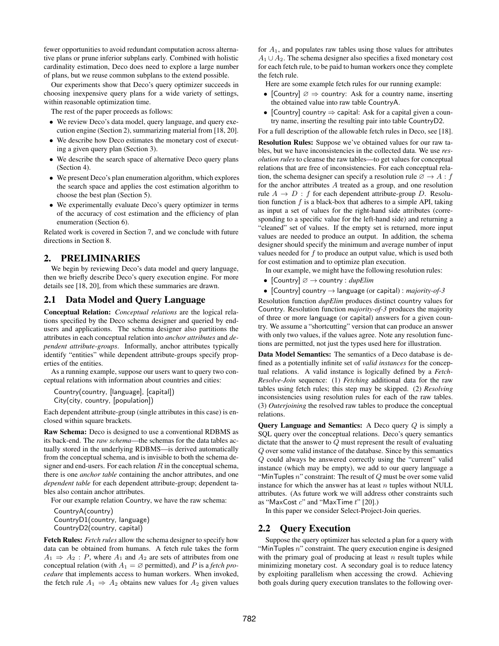fewer opportunities to avoid redundant computation across alternative plans or prune inferior subplans early. Combined with holistic cardinality estimation, Deco does need to explore a large number of plans, but we reuse common subplans to the extend possible.

Our experiments show that Deco's query optimizer succeeds in choosing inexpensive query plans for a wide variety of settings, within reasonable optimization time.

The rest of the paper proceeds as follows:

- *•* We review Deco's data model, query language, and query execution engine (Section [2\)](#page-1-0), summarizing material from [\[18,](#page-11-1) [20\]](#page-11-3).
- *•* We describe how Deco estimates the monetary cost of executing a given query plan (Section [3\)](#page-3-0).
- We describe the search space of alternative Deco query plans (Section [4\)](#page-6-0).
- *•* We present Deco's plan enumeration algorithm, which explores the search space and applies the cost estimation algorithm to choose the best plan (Section [5\)](#page-7-0).
- We experimentally evaluate Deco's query optimizer in terms of the accuracy of cost estimation and the efficiency of plan enumeration (Section [6\)](#page-8-0).

Related work is covered in Section [7,](#page-11-4) and we conclude with future directions in Section [8.](#page-11-5)

# <span id="page-1-0"></span>2. PRELIMINARIES

We begin by reviewing Deco's data model and query language, then we briefly describe Deco's query execution engine. For more details see [\[18,](#page-11-1) [20\]](#page-11-3), from which these summaries are drawn.

# <span id="page-1-1"></span>2.1 Data Model and Query Language

Conceptual Relation: *Conceptual relations* are the logical relations specified by the Deco schema designer and queried by endusers and applications. The schema designer also partitions the attributes in each conceptual relation into *anchor attributes* and *dependent attribute-groups*. Informally, anchor attributes typically identify "entities" while dependent attribute-groups specify properties of the entities.

As a running example, suppose our users want to query two conceptual relations with information about countries and cities:

```
Country(country, [language], [capital])
City(city, country, [population])
```
Each dependent attribute-group (single attributes in this case) is enclosed within square brackets.

Raw Schema: Deco is designed to use a conventional RDBMS as its back-end. The *raw schema*—the schemas for the data tables actually stored in the underlying RDBMS—is derived automatically from the conceptual schema, and is invisible to both the schema designer and end-users. For each relation *R* in the conceptual schema, there is one *anchor table* containing the anchor attributes, and one *dependent table* for each dependent attribute-group; dependent tables also contain anchor attributes.

For our example relation Country, we have the raw schema:

CountryA(country) CountryD1(country, language) CountryD2(country, capital)

Fetch Rules: *Fetch rules* allow the schema designer to specify how data can be obtained from humans. A fetch rule takes the form  $A_1 \Rightarrow A_2$ : *P*, where  $A_1$  and  $A_2$  are sets of attributes from one conceptual relation (with  $A_1 = \emptyset$  permitted), and *P* is a *fetch procedure* that implements access to human workers. When invoked, the fetch rule  $A_1 \Rightarrow A_2$  obtains new values for  $A_2$  given values

for  $A_1$ , and populates raw tables using those values for attributes  $A_1 \cup A_2$ . The schema designer also specifies a fixed monetary cost for each fetch rule, to be paid to human workers once they complete the fetch rule.

Here are some example fetch rules for our running example:

- [Country]  $\emptyset \Rightarrow$  country: Ask for a country name, inserting the obtained value into raw table CountryA.
- [Country] country  $\Rightarrow$  capital: Ask for a capital given a country name, inserting the resulting pair into table CountryD2.

For a full description of the allowable fetch rules in Deco, see [\[18\]](#page-11-1).

Resolution Rules: Suppose we've obtained values for our raw tables, but we have inconsistencies in the collected data. We use *resolution rules* to cleanse the raw tables—to get values for conceptual relations that are free of inconsistencies. For each conceptual relation, the schema designer can specify a resolution rule  $\emptyset \rightarrow A : f$ for the anchor attributes *A* treated as a group, and one resolution rule  $A \rightarrow D$ : *f* for each dependent attribute-group *D*. Resolution function *f* is a black-box that adheres to a simple API, taking as input a set of values for the right-hand side attributes (corresponding to a specific value for the left-hand side) and returning a "cleaned" set of values. If the empty set is returned, more input values are needed to produce an output. In addition, the schema designer should specify the minimum and average number of input values needed for *f* to produce an output value, which is used both for cost estimation and to optimize plan execution.

- In our example, we might have the following resolution rules:
- $[Country] \oslash \rightarrow country$ : *dupElim*
- [Country] country  $\rightarrow$  language (or capital) : *majority-of-3*

Resolution function *dupElim* produces distinct country values for Country. Resolution function *majority-of-3* produces the majority of three or more language (or capital) answers for a given country. We assume a "shortcutting" version that can produce an answer with only two values, if the values agree. Note any resolution functions are permitted, not just the types used here for illustration.

Data Model Semantics: The semantics of a Deco database is defined as a potentially infinite set of *valid instances* for the conceptual relations. A valid instance is logically defined by a *Fetch-Resolve-Join* sequence: (1) *Fetching* additional data for the raw tables using fetch rules; this step may be skipped. (2) *Resolving* inconsistencies using resolution rules for each of the raw tables. (3) *Outerjoining* the resolved raw tables to produce the conceptual relations.

Query Language and Semantics: A Deco query *Q* is simply a SQL query over the conceptual relations. Deco's query semantics dictate that the answer to *Q* must represent the result of evaluating *Q* over some valid instance of the database. Since by this semantics *Q* could always be answered correctly using the "current" valid instance (which may be empty), we add to our query language a "MinTuples *n*" constraint: The result of *Q* must be over some valid instance for which the answer has at least *n* tuples without NULL attributes. (As future work we will address other constraints such as "MaxCost *c*" and "MaxTime *t*" [\[20\]](#page-11-3).)

In this paper we consider Select-Project-Join queries.

# <span id="page-1-2"></span>2.2 Query Execution

Suppose the query optimizer has selected a plan for a query with "MinTuples *n*" constraint. The query execution engine is designed with the primary goal of producing at least *n* result tuples while minimizing monetary cost. A secondary goal is to reduce latency by exploiting parallelism when accessing the crowd. Achieving both goals during query execution translates to the following over-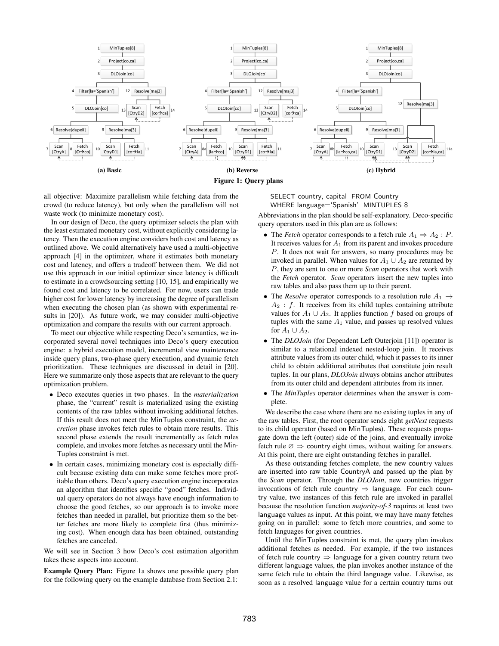<span id="page-2-0"></span>

all objective: Maximize parallelism while fetching data from the crowd (to reduce latency), but only when the parallelism will not waste work (to minimize monetary cost).

In our design of Deco, the query optimizer selects the plan with the least estimated monetary cost, without explicitly considering latency. Then the execution engine considers both cost and latency as outlined above. We could alternatively have used a multi-objective approach [\[4\]](#page-11-6) in the optimizer, where it estimates both monetary cost and latency, and offers a tradeoff between them. We did not use this approach in our initial optimizer since latency is difficult to estimate in a crowdsourcing setting [\[10,](#page-11-7) [15\]](#page-11-8), and empirically we found cost and latency to be correlated. For now, users can trade higher cost for lower latency by increasing the degree of parallelism when executing the chosen plan (as shown with experimental results in [\[20\]](#page-11-3)). As future work, we may consider multi-objective optimization and compare the results with our current approach.

To meet our objective while respecting Deco's semantics, we incorporated several novel techniques into Deco's query execution engine: a hybrid execution model, incremental view maintenance inside query plans, two-phase query execution, and dynamic fetch prioritization. These techniques are discussed in detail in [\[20\]](#page-11-3). Here we summarize only those aspects that are relevant to the query optimization problem.

- *•* Deco executes queries in two phases. In the *materialization* phase, the "current" result is materialized using the existing contents of the raw tables without invoking additional fetches. If this result does not meet the MinTuples constraint, the *accretion* phase invokes fetch rules to obtain more results. This second phase extends the result incrementally as fetch rules complete, and invokes more fetches as necessary until the Min-Tuples constraint is met.
- *•* In certain cases, minimizing monetary cost is especially difficult because existing data can make some fetches more profitable than others. Deco's query execution engine incorporates an algorithm that identifies specific "good" fetches. Individual query operators do not always have enough information to choose the good fetches, so our approach is to invoke more fetches than needed in parallel, but prioritize them so the better fetches are more likely to complete first (thus minimizing cost). When enough data has been obtained, outstanding fetches are canceled.

We will see in Section [3](#page-3-0) how Deco's cost estimation algorithm takes these aspects into account.

Example Query Plan: Figure [1a](#page-2-0) shows one possible query plan for the following query on the example database from Section [2.1:](#page-1-1)

SELECT country, capital FROM Country WHERE language='Spanish' MINTUPLES 8

Abbreviations in the plan should be self-explanatory. Deco-specific query operators used in this plan are as follows:

- The *Fetch* operator corresponds to a fetch rule  $A_1 \Rightarrow A_2 : P$ . It receives values for *A*<sup>1</sup> from its parent and invokes procedure *P*. It does not wait for answers, so many procedures may be invoked in parallel. When values for  $A_1 \cup A_2$  are returned by *P*, they are sent to one or more *Scan* operators that work with the *Fetch* operator. *Scan* operators insert the new tuples into raw tables and also pass them up to their parent.
- The *Resolve* operator corresponds to a resolution rule  $A_1 \rightarrow$ *A*<sup>2</sup> : *f*. It receives from its child tuples containing attribute values for  $A_1 \cup A_2$ . It applies function f based on groups of tuples with the same  $A_1$  value, and passes up resolved values for  $A_1 \cup A_2$ .
- *•* The *DLOJoin* (for Dependent Left Outerjoin [\[11\]](#page-11-9)) operator is similar to a relational indexed nested-loop join. It receives attribute values from its outer child, which it passes to its inner child to obtain additional attributes that constitute join result tuples. In our plans, *DLOJoin* always obtains anchor attributes from its outer child and dependent attributes from its inner.
- *•* The *MinTuples* operator determines when the answer is complete.

We describe the case where there are no existing tuples in any of the raw tables. First, the root operator sends eight *getNext* requests to its child operator (based on MinTuples). These requests propagate down the left (outer) side of the joins, and eventually invoke fetch rule  $\varnothing \Rightarrow$  country eight times, without waiting for answers. At this point, there are eight outstanding fetches in parallel.

As these outstanding fetches complete, the new country values are inserted into raw table CountryA and passed up the plan by the *Scan* operator. Through the *DLOJoin*, new countries trigger invocations of fetch rule country  $\Rightarrow$  language. For each country value, two instances of this fetch rule are invoked in parallel because the resolution function *majority-of-3* requires at least two language values as input. At this point, we may have many fetches going on in parallel: some to fetch more countries, and some to fetch languages for given countries.

Until the MinTuples constraint is met, the query plan invokes additional fetches as needed. For example, if the two instances of fetch rule country  $\Rightarrow$  language for a given country return two different language values, the plan invokes another instance of the same fetch rule to obtain the third language value. Likewise, as soon as a resolved language value for a certain country turns out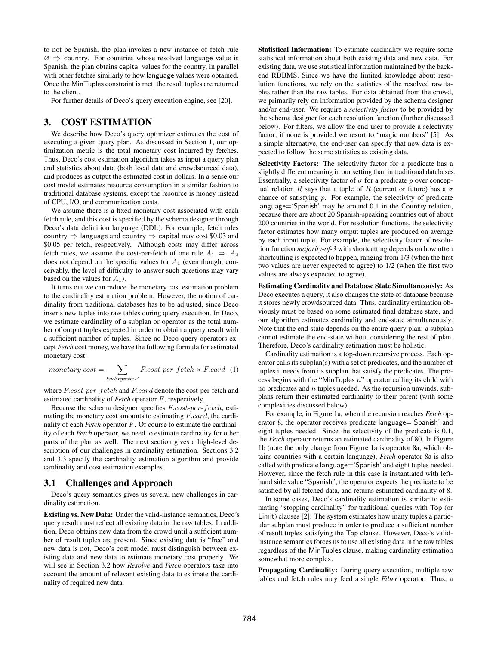to not be Spanish, the plan invokes a new instance of fetch rule  $\varnothing \Rightarrow$  country. For countries whose resolved language value is Spanish, the plan obtains capital values for the country, in parallel with other fetches similarly to how language values were obtained. Once the MinTuples constraint is met, the result tuples are returned to the client.

For further details of Deco's query execution engine, see [\[20\]](#page-11-3).

#### <span id="page-3-0"></span>3. COST ESTIMATION

We describe how Deco's query optimizer estimates the cost of executing a given query plan. As discussed in Section [1,](#page-0-0) our optimization metric is the total monetary cost incurred by fetches. Thus, Deco's cost estimation algorithm takes as input a query plan and statistics about data (both local data and crowdsourced data), and produces as output the estimated cost in dollars. In a sense our cost model estimates resource consumption in a similar fashion to traditional database systems, except the resource is money instead of CPU, I/O, and communication costs.

We assume there is a fixed monetary cost associated with each fetch rule, and this cost is specified by the schema designer through Deco's data definition language (DDL). For example, fetch rules country  $\Rightarrow$  language and country  $\Rightarrow$  capital may cost \$0.03 and \$0.05 per fetch, respectively. Although costs may differ across fetch rules, we assume the cost-per-fetch of one rule  $A_1 \Rightarrow A_2$ does not depend on the specific values for *A*<sup>1</sup> (even though, conceivably, the level of difficulty to answer such questions may vary based on the values for  $A_1$ ).

It turns out we can reduce the monetary cost estimation problem to the cardinality estimation problem. However, the notion of cardinality from traditional databases has to be adjusted, since Deco inserts new tuples into raw tables during query execution. In Deco, we estimate cardinality of a subplan or operator as the total number of output tuples expected in order to obtain a query result with a sufficient number of tuples. Since no Deco query operators except *Fetch* cost money, we have the following formula for estimated monetary cost:

<span id="page-3-1"></span>
$$
monetary cost = \sum_{\text{Fetch operator } F} F \cdot cost\text{-}per\text{-}fetch \times F \cdot card \quad (1)
$$

where *F.cost*-*per*-*fetch* and *F.card* denote the cost-per-fetch and estimated cardinality of *Fetch* operator *F*, respectively.

Because the schema designer specifies *F.cost*-*per*-*fetch*, estimating the monetary cost amounts to estimating *F.card*, the cardinality of each *Fetch* operator *F*. Of course to estimate the cardinality of each *Fetch* operator, we need to estimate cardinality for other parts of the plan as well. The next section gives a high-level description of our challenges in cardinality estimation. Sections [3.2](#page-4-0) and [3.3](#page-6-1) specify the cardinality estimation algorithm and provide cardinality and cost estimation examples.

#### 3.1 Challenges and Approach

Deco's query semantics gives us several new challenges in cardinality estimation.

Existing vs. New Data: Under the valid-instance semantics, Deco's query result must reflect all existing data in the raw tables. In addition, Deco obtains new data from the crowd until a sufficient number of result tuples are present. Since existing data is "free" and new data is not, Deco's cost model must distinguish between existing data and new data to estimate monetary cost properly. We will see in Section [3.2](#page-4-0) how *Resolve* and *Fetch* operators take into account the amount of relevant existing data to estimate the cardinality of required new data.

Statistical Information: To estimate cardinality we require some statistical information about both existing data and new data. For existing data, we use statistical information maintained by the backend RDBMS. Since we have the limited knowledge about resolution functions, we rely on the statistics of the resolved raw tables rather than the raw tables. For data obtained from the crowd, we primarily rely on information provided by the schema designer and/or end-user. We require a *selectivity factor* to be provided by the schema designer for each resolution function (further discussed below). For filters, we allow the end-user to provide a selectivity factor; if none is provided we resort to "magic numbers" [\[5\]](#page-11-10). As a simple alternative, the end-user can specify that new data is expected to follow the same statistics as existing data.

Selectivity Factors: The selectivity factor for a predicate has a slightly different meaning in our setting than in traditional databases. Essentially, a selectivity factor of  $\sigma$  for a predicate p over conceptual relation *R* says that a tuple of *R* (current or future) has a  $\sigma$ chance of satisfying *p*. For example, the selectivity of predicate language='Spanish' may be around 0.1 in the Country relation, because there are about 20 Spanish-speaking countries out of about 200 countries in the world. For resolution functions, the selectivity factor estimates how many output tuples are produced on average by each input tuple. For example, the selectivity factor of resolution function *majority-of-3* with shortcutting depends on how often shortcutting is expected to happen, ranging from 1/3 (when the first two values are never expected to agree) to 1/2 (when the first two values are always expected to agree).

Estimating Cardinality and Database State Simultaneously: As Deco executes a query, it also changes the state of database because it stores newly crowdsourced data. Thus, cardinality estimation obviously must be based on some estimated final database state, and our algorithm estimates cardinality and end-state simultaneously. Note that the end-state depends on the entire query plan: a subplan cannot estimate the end-state without considering the rest of plan. Therefore, Deco's cardinality estimation must be holistic.

Cardinality estimation is a top-down recursive process. Each operator calls its subplan(s) with a set of predicates, and the number of tuples it needs from its subplan that satisfy the predicates. The process begins with the "MinTuples *n*" operator calling its child with no predicates and *n* tuples needed. As the recursion unwinds, subplans return their estimated cardinality to their parent (with some complexities discussed below).

For example, in Figure [1a,](#page-2-0) when the recursion reaches *Fetch* operator 8, the operator receives predicate language='Spanish' and eight tuples needed. Since the selectivity of the predicate is 0.1, the *Fetch* operator returns an estimated cardinality of 80. In Figure [1b](#page-2-0) (note the only change from Figure [1a](#page-2-0) is operator 8a, which obtains countries with a certain language), *Fetch* operator 8a is also called with predicate language='Spanish' and eight tuples needed. However, since the fetch rule in this case is instantiated with lefthand side value "Spanish", the operator expects the predicate to be satisfied by all fetched data, and returns estimated cardinality of 8.

In some cases, Deco's cardinality estimation is similar to estimating "stopping cardinality" for traditional queries with Top (or Limit) clauses [\[2\]](#page-11-11): The system estimates how many tuples a particular subplan must produce in order to produce a sufficient number of result tuples satisfying the Top clause. However, Deco's validinstance semantics forces us to use all existing data in the raw tables regardless of the MinTuples clause, making cardinality estimation somewhat more complex.

Propagating Cardinality: During query execution, multiple raw tables and fetch rules may feed a single *Filter* operator. Thus, a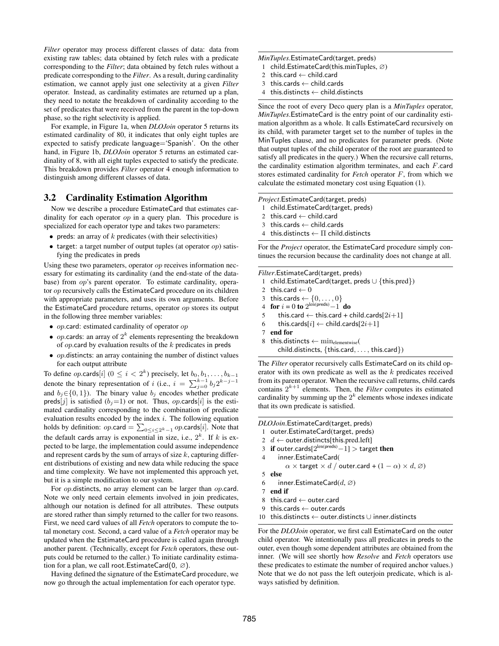*Filter* operator may process different classes of data: data from existing raw tables; data obtained by fetch rules with a predicate corresponding to the *Filter*; data obtained by fetch rules without a predicate corresponding to the *Filter*. As a result, during cardinality estimation, we cannot apply just one selectivity at a given *Filter* operator. Instead, as cardinality estimates are returned up a plan, they need to notate the breakdown of cardinality according to the set of predicates that were received from the parent in the top-down phase, so the right selectivity is applied.

For example, in Figure [1a,](#page-2-0) when *DLOJoin* operator 5 returns its estimated cardinality of 80, it indicates that only eight tuples are expected to satisfy predicate language='Spanish'. On the other hand, in Figure [1b,](#page-2-0) *DLOJoin* operator 5 returns an estimated cardinality of 8, with all eight tuples expected to satisfy the predicate. This breakdown provides *Filter* operator 4 enough information to distinguish among different classes of data.

## <span id="page-4-0"></span>3.2 Cardinality Estimation Algorithm

Now we describe a procedure EstimateCard that estimates cardinality for each operator *op* in a query plan. This procedure is specialized for each operator type and takes two parameters:

- *•* preds: an array of *k* predicates (with their selectivities)
- *•* target: a target number of output tuples (at operator *op*) satisfying the predicates in preds

Using these two parameters, operator *op* receives information necessary for estimating its cardinality (and the end-state of the database) from *op*'s parent operator. To estimate cardinality, operator *op* recursively calls the EstimateCard procedure on its children with appropriate parameters, and uses its own arguments. Before the EstimateCard procedure returns, operator *op* stores its output in the following three member variables:

- *• op*.card: estimated cardinality of operator *op*
- *• op*.cards: an array of <sup>2</sup>*<sup>k</sup>* elements representing the breakdown of *op*.card by evaluation results of the *k* predicates in preds
- *• op*.distincts: an array containing the number of distinct values for each output attribute

To define *op*.cards[*i*] ( $0 \le i < 2<sup>k</sup>$ ) precisely, let  $b_0, b_1, \ldots, b_{k-1}$ denote the binary representation of *i* (i.e.,  $i = \sum_{j=0}^{k-1} b_j 2^{k-j-1}$ and  $b_i \in \{0, 1\}$ ). The binary value  $b_i$  encodes whether predicate preds[*j*] is satisfied ( $b_j$ =1) or not. Thus, *op*.cards[*i*] is the estimated cardinality corresponding to the combination of predicate evaluation results encoded by the index *i*. The following equation holds by definition:  $op\text{.card} = \sum_{0 \le i \le 2^k - 1} op\text{.cards}[i]$ . Note that the default cards array is exponential in size, i.e.,  $2^k$ . If *k* is expected to be large, the implementation could assume independence and represent cards by the sum of arrays of size *k*, capturing different distributions of existing and new data while reducing the space and time complexity. We have not implemented this approach yet, but it is a simple modification to our system.

For *op*.distincts, no array element can be larger than *op*.card. Note we only need certain elements involved in join predicates, although our notation is defined for all attributes. These outputs are stored rather than simply returned to the caller for two reasons. First, we need card values of all *Fetch* operators to compute the total monetary cost. Second, a card value of a *Fetch* operator may be updated when the EstimateCard procedure is called again through another parent. (Technically, except for *Fetch* operators, these outputs could be returned to the caller.) To initiate cardinality estimation for a plan, we call root. EstimateCard $(0, \emptyset)$ .

Having defined the signature of the EstimateCard procedure, we now go through the actual implementation for each operator type.

#### *MinTuples*.EstimateCard(target, preds)

- 1 child.EstimateCard(this.minTuples,  $\varnothing$ )
- 2 this.card  $\leftarrow$  child.card<br>3 this.cards  $\leftarrow$  child.card
- 3 this.cards  $\leftarrow$  child.cards<br>4 this.distincts  $\leftarrow$  child.dis
- this.distincts  $\leftarrow$  child.distincts

Since the root of every Deco query plan is a *MinTuples* operator, *MinTuples*.EstimateCard is the entry point of our cardinality estimation algorithm as a whole. It calls EstimateCard recursively on its child, with parameter target set to the number of tuples in the MinTuples clause, and no predicates for parameter preds. (Note that output tuples of the child operator of the root are guaranteed to satisfy all predicates in the query.) When the recursive call returns, the cardinality estimation algorithm terminates, and each *F*.card stores estimated cardinality for *Fetch* operator *F*, from which we calculate the estimated monetary cost using Equation [\(1\)](#page-3-1).

*Project*.EstimateCard(target, preds)

- 1 child.EstimateCard(target, preds)
- 2 this.card  $\leftarrow$  child.card<br>3 this.cards  $\leftarrow$  child.card
- 3 this.cards  $\leftarrow$  child.cards<br>4 this.distincts  $\leftarrow \Pi$  child.
- this.distincts  $\leftarrow \Pi$  child.distincts

For the *Project* operator, the EstimateCard procedure simply continues the recursion because the cardinality does not change at all.

*Filter*.EstimateCard(target, preds)

- 1 child.EstimateCard(target, preds  $\cup$  {this.pred})<br>2 this.card  $\leftarrow$  0
- 2 this.card  $\leftarrow 0$ <br>3 this.cards  $\leftarrow \{$
- 3 this.cards  $\leftarrow \{0, ..., 0\}$ <br>4 for  $i = 0$  to  $2^{\text{len(preds)}} 1$  do
- 
- 5 this.card  $\leftarrow$  this.card + child.cards[2*i*+1]<br>6 this cards[*i*]  $\leftarrow$  child cards[2*i*+1]
- 6 this.cards[*i*]  $\leftarrow$  child.cards[2*i*+1]<br>7 end for
- end for
- 8 this.distincts  $\leftarrow$   $\min_{\text{elementwise}}($ child.distincts, *{*this.card*,...,* this.card*}*)

The *Filter* operator recursively calls EstimateCard on its child operator with its own predicate as well as the *k* predicates received from its parent operator. When the recursive call returns, child.cards contains  $2^{k+1}$  elements. Then, the *Filter* computes its estimated cardinality by summing up the  $2<sup>k</sup>$  elements whose indexes indicate that its own predicate is satisfied.

```
DLOJoin.EstimateCard(target, preds)
  1 outer.EstimateCard(target, preds)
  2 d \leftarrow outer.distincts[this.pred.left]<br>3 if outer cards[2<sup>len(preds)</sup> -11 > targe
  3 if outer.cards[2^{\text{len(preds)}}-1] > target then
  4 inner.EstimateCard(
             \alpha \times target \times d / outer.card + (1 - \alpha) \times d, \varnothing)
 5 else
  6 inner.EstimateCard(d, \varnothing)7 end if
  8 this.card \leftarrow outer.card<br>9 this.cards \leftarrow outer.card
```
- 9 this.cards  $\leftarrow$  outer.cards<br>10 this.distincts  $\leftarrow$  outer.dis
- this.distincts  $\leftarrow$  outer.distincts  $\cup$  inner.distincts

For the *DLOJoin* operator, we first call EstimateCard on the outer child operator. We intentionally pass all predicates in preds to the outer, even though some dependent attributes are obtained from the inner. (We will see shortly how *Resolve* and *Fetch* operators use these predicates to estimate the number of required anchor values.) Note that we do not pass the left outerjoin predicate, which is always satisfied by definition.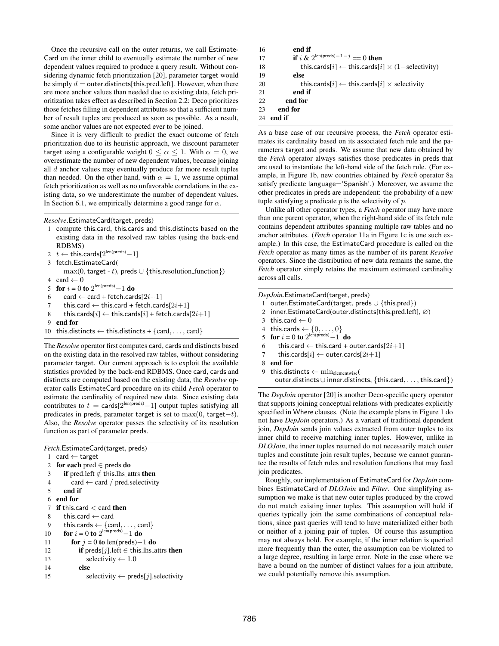Once the recursive call on the outer returns, we call Estimate-Card on the inner child to eventually estimate the number of new dependent values required to produce a query result. Without considering dynamic fetch prioritization [\[20\]](#page-11-3), parameter target would be simply  $d =$  outer.distincts[this.pred.left]. However, when there are more anchor values than needed due to existing data, fetch prioritization takes effect as described in Section [2.2:](#page-1-2) Deco prioritizes those fetches filling in dependent attributes so that a sufficient number of result tuples are produced as soon as possible. As a result, some anchor values are not expected ever to be joined.

Since it is very difficult to predict the exact outcome of fetch prioritization due to its heuristic approach, we discount parameter target using a configurable weight  $0 \le \alpha \le 1$ . With  $\alpha = 0$ , we overestimate the number of new dependent values, because joining all *d* anchor values may eventually produce far more result tuples than needed. On the other hand, with  $\alpha = 1$ , we assume optimal fetch prioritization as well as no unfavorable correlations in the existing data, so we underestimate the number of dependent values. In Section [6.1,](#page-8-1) we empirically determine a good range for  $\alpha$ .

*Resolve*.EstimateCard(target, preds)

- 1 compute this.card, this.cards and this.distincts based on the existing data in the resolved raw tables (using the back-end RDBMS)
- 2  $t \leftarrow \text{this.cards}[2^{\text{len(preds)}} 1]$
- 3 fetch.EstimateCard(
- $max(0, \text{target} t)$ , preds  $\cup$  {this.resolution function}) 4 card  $\leftarrow$  0
- 5 **for**  $i = 0$  to  $2^{\text{len(preds)}} 1$  do
- 6 card  $\leftarrow$  card + fetch.cards[2*i*+1]<br>7 this.card  $\leftarrow$  this.card + fetch.card
- 7 this.card  $\leftarrow$  this.card + fetch.cards[2*i*+1]<br>8 this.cards[*i*]  $\leftarrow$  this.cards[*i*] + fetch.cards
- 8 this.cards[ $i$ ]  $\leftarrow$  this.cards[ $i$ ] + fetch.cards[ $2i+1$ ]<br>9 end for
- end for
- 10 this.distincts  $\leftarrow$  this.distincts +  $\{card, \ldots, card\}$

The *Resolve* operator first computes card, cards and distincts based on the existing data in the resolved raw tables, without considering parameter target. Our current approach is to exploit the available statistics provided by the back-end RDBMS. Once card, cards and distincts are computed based on the existing data, the *Resolve* operator calls EstimateCard procedure on its child *Fetch* operator to estimate the cardinality of required new data. Since existing data contributes to  $t = \text{cards}[2^{\text{len(preds)}} - 1]$  output tuples satisfying all predicates in preds, parameter target is set to  $max(0, target-t)$ . Also, the *Resolve* operator passes the selectivity of its resolution function as part of parameter preds.

```
Fetch.EstimateCard(target, preds)
 1 card \leftarrow target
 2 for each pred \in preds do<br>3 if pred left \notin this lhs at
  3 if pred.left \notin this.lhs attrs then<br>4 card \leftarrow card / pred.selectivity
  4 card \leftarrow card / pred.selectivity<br>5 end if
          end if
  6 end for
  7 if this.card < card then
 8 this.card \leftarrow card<br>9 this.cards \leftarrow {car
9 this.cards \leftarrow {card,..., card}<br>10 for i = 0 to 2^{\text{len(preds)}} - 1 do
 10 for i = 0 to 2^{\text{len(preds)}} - 1 do
11 for j = 0 to len(preds)-1 do<br>12 if preds[j], left \in this.lhs.a
12 if preds[j].left \in this.lhs attrs then<br>13 selectivity \leftarrow 1.0
13 selectivity \leftarrow 1.0<br>14 else
                   else
15 selectivity \leftarrow preds[j]. selectivity
```

```
16 end if
17 if i & 2^{\text{len(preds)}-1-j} == 0 then
18 this.cards[i] \leftarrow this.cards[i] \times (1-selectivity)<br>19
            else
20 this.cards[i] \leftarrow this.cards[i] \times selectivity<br>21 end if
            end if
22 end for
23 end for
24 end if
```
As a base case of our recursive process, the *Fetch* operator estimates its cardinality based on its associated fetch rule and the parameters target and preds. We assume that new data obtained by the *Fetch* operator always satisfies those predicates in preds that are used to instantiate the left-hand side of the fetch rule. (For example, in Figure [1b,](#page-2-0) new countries obtained by *Fetch* operator 8a satisfy predicate language='Spanish'.) Moreover, we assume the other predicates in preds are independent: the probability of a new tuple satisfying a predicate *p* is the selectivity of *p*.

Unlike all other operator types, a *Fetch* operator may have more than one parent operator, when the right-hand side of its fetch rule contains dependent attributes spanning multiple raw tables and no anchor attributes. (*Fetch* operator 11a in Figure [1c](#page-2-0) is one such example.) In this case, the EstimateCard procedure is called on the *Fetch* operator as many times as the number of its parent *Resolve* operators. Since the distribution of new data remains the same, the *Fetch* operator simply retains the maximum estimated cardinality across all calls.

*DepJoin*.EstimateCard(target, preds)

- 1 outer.EstimateCard(target, preds  $\cup$  {this.pred})<br>2 inner.EstimateCard(outer.distincts[this.pred.left
- inner.EstimateCard(outer.distincts[this.pred.left],  $\varnothing$ )
- 3 this.card  $\leftarrow 0$
- 4 this.cards  $\leftarrow \{0, \ldots, 0\}$
- 5 **for**  $i = 0$  to  $2^{\text{len(preds)}} 1$  **do**
- 6 this.card  $\leftarrow$  this.card + outer.cards[2*i*+1]<br>7 this cards[*i*]  $\leftarrow$  outer cards[2*i*+1]
- this.cards[ $i$ ]  $\leftarrow$  outer.cards[ $2i+1$ ]
- 8 end for
- 9 this.distincts  $\leftarrow$  minelementwise( outer.distincts [ inner.distincts, *{*this.card*,...,* this.card*}*)

The *DepJoin* operator [\[20\]](#page-11-3) is another Deco-specific query operator that supports joining conceptual relations with predicates explicitly specified in Where clauses. (Note the example plans in Figure [1](#page-2-0) do not have *DepJoin* operators.) As a variant of traditional dependent join, *DepJoin* sends join values extracted from outer tuples to its inner child to receive matching inner tuples. However, unlike in *DLOJoin*, the inner tuples returned do not necessarily match outer tuples and constitute join result tuples, because we cannot guarantee the results of fetch rules and resolution functions that may feed join predicates.

Roughly, our implementation of EstimateCard for *DepJoin* combines EstimateCard of *DLOJoin* and *Filter*. One simplifying assumption we make is that new outer tuples produced by the crowd do not match existing inner tuples. This assumption will hold if queries typically join the same combinations of conceptual relations, since past queries will tend to have materialized either both or neither of a joining pair of tuples. Of course this assumption may not always hold. For example, if the inner relation is queried more frequently than the outer, the assumption can be violated to a large degree, resulting in large error. Note in the case where we have a bound on the number of distinct values for a join attribute, we could potentially remove this assumption.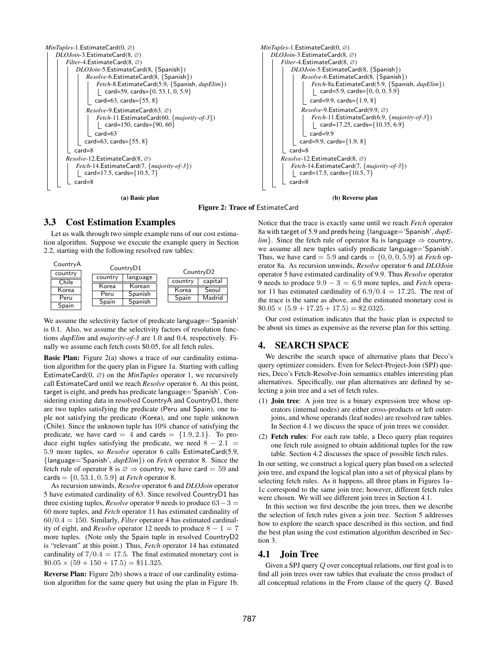<span id="page-6-2"></span>

(a) Basic plan



(b) Reverse plan

#### Figure 2: Trace of EstimateCard

#### <span id="page-6-1"></span>3.3 Cost Estimation Examples

Let us walk through two simple example runs of our cost estimation algorithm. Suppose we execute the example query in Section [2.2,](#page-1-2) starting with the following resolved raw tables:



We assume the selectivity factor of predicate language='Spanish' is 0.1. Also, we assume the selectivity factors of resolution functions *dupElim* and *majority-of-3* are 1.0 and 0.4, respectively. Finally we assume each fetch costs \$0.05, for all fetch rules.

Basic Plan: Figure [2\(](#page-6-2)a) shows a trace of our cardinality estimation algorithm for the query plan in Figure [1a.](#page-2-0) Starting with calling EstimateCard $(0, \emptyset)$  on the *MinTuples* operator 1, we recursively call EstimateCard until we reach *Resolve* operator 6. At this point, target is eight, and preds has predicate language='Spanish'. Considering existing data in resolved CountryA and CountryD1, there are two tuples satisfying the predicate (Peru and Spain), one tuple not satisfying the predicate (Korea), and one tuple unknown (Chile). Since the unknown tuple has 10% chance of satisfying the predicate, we have card =  $4$  and cards =  $\{1.9, 2.1\}$ . To produce eight tuples satisfying the predicate, we need  $8 - 2.1$ 5*.*9 more tuples, so *Resolve* operator 6 calls EstimateCard(5.9, *{*language='Spanish', *dupElim}*) on *Fetch* operator 8. Since the fetch rule of operator 8 is  $\varnothing \Rightarrow$  country, we have card = 59 and cards =  $\{0, 53.1, 0, 5.9\}$  at *Fetch* operator 8.

As recursion unwinds, *Resolve* operator 6 and *DLOJoin* operator 5 have estimated cardinality of 63. Since resolved CountryD1 has three existing tuples, *Resolve* operator 9 needs to produce  $63 - 3 =$ 60 more tuples, and *Fetch* operator 11 has estimated cardinality of 60*/*0*.*4 = 150. Similarly, *Filter* operator 4 has estimated cardinality of eight, and *Resolve* operator 12 needs to produce  $8 - 1 = 7$ more tuples. (Note only the Spain tuple in resolved CountryD2 is "relevant" at this point.) Thus, *Fetch* operator 14 has estimated cardinality of  $7/0.4 = 17.5$ . The final estimated monetary cost is  $$0.05 \times (59 + 150 + 17.5) = $11.325.$ 

Reverse Plan: Figure [2\(](#page-6-2)b) shows a trace of our cardinality estimation algorithm for the same query but using the plan in Figure [1b.](#page-2-0)

Notice that the trace is exactly same until we reach *Fetch* operator 8a with target of 5.9 and preds being *{*language='Spanish', *dupElim*}. Since the fetch rule of operator 8a is language  $\Rightarrow$  country, we assume all new tuples satisfy predicate language='Spanish'. Thus, we have card = 5.9 and cards =  $\{0, 0, 0, 5.9\}$  at *Fetch* operator 8a. As recursion unwinds, *Resolve* operator 6 and *DLOJoin* operator 5 have estimated cardinality of 9.9. Thus *Resolve* operator 9 needs to produce  $9.9 - 3 = 6.9$  more tuples, and *Fetch* operator 11 has estimated cardinality of 6*.*9*/*0*.*4 = 17*.*25. The rest of the trace is the same as above, and the estimated monetary cost is  $$0.05 \times (5.9 + 17.25 + 17.5) = $2.0325.$ 

Our cost estimation indicates that the basic plan is expected to be about six times as expensive as the reverse plan for this setting.

#### <span id="page-6-0"></span>4. SEARCH SPACE

We describe the search space of alternative plans that Deco's query optimizer considers. Even for Select-Project-Join (SPJ) queries, Deco's Fetch-Resolve-Join semantics enables interesting plan alternatives. Specifically, our plan alternatives are defined by selecting a join tree and a set of fetch rules.

- (1) Join tree: A join tree is a binary expression tree whose operators (internal nodes) are either cross-products or left outerjoins, and whose operands (leaf nodes) are resolved raw tables. In Section [4.1](#page-6-3) we discuss the space of join trees we consider.
- (2) Fetch rules: For each raw table, a Deco query plan requires one fetch rule assigned to obtain additional tuples for the raw table. Section [4.2](#page-7-1) discusses the space of possible fetch rules.

In our setting, we construct a logical query plan based on a selected join tree, and expand the logical plan into a set of physical plans by selecting fetch rules. As it happens, all three plans in Figures [1a–](#page-2-0) [1c](#page-2-0) correspond to the same join tree; however, different fetch rules were chosen. We will see different join trees in Section [4.1.](#page-6-3)

In this section we first describe the join trees, then we describe the selection of fetch rules given a join tree. Section [5](#page-7-0) addresses how to explore the search space described in this section, and find the best plan using the cost estimation algorithm described in Section [3.](#page-3-0)

#### <span id="page-6-3"></span>4.1 Join Tree

Given a SPJ query *Q* over conceptual relations, our first goal is to find all join trees over raw tables that evaluate the cross product of all conceptual relations in the From clause of the query *Q*. Based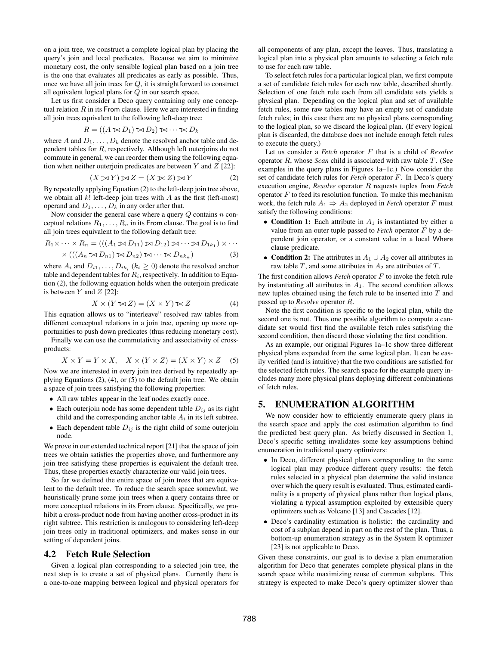on a join tree, we construct a complete logical plan by placing the query's join and local predicates. Because we aim to minimize monetary cost, the only sensible logical plan based on a join tree is the one that evaluates all predicates as early as possible. Thus, once we have all join trees for *Q*, it is straightforward to construct all equivalent logical plans for *Q* in our search space.

Let us first consider a Deco query containing only one conceptual relation *R* in its From clause. Here we are interested in finding all join trees equivalent to the following left-deep tree:

$$
R = ((A \boxtimes D_1) \boxtimes D_2) \boxtimes \cdots \boxtimes D_k
$$

where *A* and  $D_1, \ldots, D_k$  denote the resolved anchor table and dependent tables for *R*, respectively. Although left outerjoins do not commute in general, we can reorder them using the following equation when neither outerjoin predicates are between *Y* and *Z* [\[22\]](#page-11-12):

<span id="page-7-2"></span>
$$
(X \boxtimes Y) \boxtimes Z = (X \boxtimes Z) \boxtimes Y \tag{2}
$$

By repeatedly applying Equation [\(2\)](#page-7-2) to the left-deep join tree above, we obtain all *k*! left-deep join trees with *A* as the first (left-most) operand and  $D_1, \ldots, D_k$  in any order after that.

Now consider the general case where a query *Q* contains *n* conceptual relations  $R_1, \ldots, R_n$  in its From clause. The goal is to find all join trees equivalent to the following default tree:

$$
R_1 \times \cdots \times R_n = (((A_1 \boxtimes D_{11}) \boxtimes D_{12}) \boxtimes \cdots \boxtimes D_{1k_1}) \times \cdots
$$
  
 
$$
\times (((A_n \boxtimes D_{n1}) \boxtimes D_{n2}) \boxtimes \cdots \boxtimes D_{nk_n})
$$
 (3)

where  $A_i$  and  $D_{i1}, \ldots, D_{ik_i}$  ( $k_i \geq 0$ ) denote the resolved anchor table and dependent tables for  $R_i$ , respectively. In addition to Equation [\(2\)](#page-7-2), the following equation holds when the outerjoin predicate is between *Y* and *Z* [\[22\]](#page-11-12):

<span id="page-7-3"></span>
$$
X \times (Y \boxtimes Z) = (X \times Y) \boxtimes Z \tag{4}
$$

This equation allows us to "interleave" resolved raw tables from different conceptual relations in a join tree, opening up more opportunities to push down predicates (thus reducing monetary cost).

Finally we can use the commutativity and associativity of crossproducts:

<span id="page-7-4"></span>
$$
X \times Y = Y \times X, \quad X \times (Y \times Z) = (X \times Y) \times Z \quad (5)
$$

Now we are interested in every join tree derived by repeatedly applying Equations [\(2\)](#page-7-2), [\(4\)](#page-7-3), or [\(5\)](#page-7-4) to the default join tree. We obtain a space of join trees satisfying the following properties:

*•* All raw tables appear in the leaf nodes exactly once.

- Each outerjoin node has some dependent table  $D_{ij}$  as its right child and the corresponding anchor table  $A_i$  in its left subtree.
- Each dependent table  $D_{ij}$  is the right child of some outerjoin node.

We prove in our extended technical report [\[21\]](#page-11-13) that the space of join trees we obtain satisfies the properties above, and furthermore any join tree satisfying these properties is equivalent the default tree. Thus, these properties exactly characterize our valid join trees.

So far we defined the entire space of join trees that are equivalent to the default tree. To reduce the search space somewhat, we heuristically prune some join trees when a query contains three or more conceptual relations in its From clause. Specifically, we prohibit a cross-product node from having another cross-product in its right subtree. This restriction is analogous to considering left-deep join trees only in traditional optimizers, and makes sense in our setting of dependent joins.

#### <span id="page-7-1"></span>4.2 Fetch Rule Selection

Given a logical plan corresponding to a selected join tree, the next step is to create a set of physical plans. Currently there is a one-to-one mapping between logical and physical operators for all components of any plan, except the leaves. Thus, translating a logical plan into a physical plan amounts to selecting a fetch rule to use for each raw table.

To select fetch rules for a particular logical plan, we first compute a set of candidate fetch rules for each raw table, described shortly. Selection of one fetch rule each from all candidate sets yields a physical plan. Depending on the logical plan and set of available fetch rules, some raw tables may have an empty set of candidate fetch rules; in this case there are no physical plans corresponding to the logical plan, so we discard the logical plan. (If every logical plan is discarded, the database does not include enough fetch rules to execute the query.)

Let us consider a *Fetch* operator *F* that is a child of *Resolve* operator *R*, whose *Scan* child is associated with raw table *T*. (See examples in the query plans in Figures [1a–1c.](#page-2-0)) Now consider the set of candidate fetch rules for *Fetch* operator *F*. In Deco's query execution engine, *Resolve* operator *R* requests tuples from *Fetch* operator *F* to feed its resolution function. To make this mechanism work, the fetch rule  $A_1 \Rightarrow A_2$  deployed in *Fetch* operator *F* must satisfy the following conditions:

- Condition 1: Each attribute in  $A_1$  is instantiated by either a value from an outer tuple passed to *Fetch* operator *F* by a dependent join operator, or a constant value in a local Where clause predicate.
- Condition 2: The attributes in  $A_1 \cup A_2$  cover all attributes in raw table  $T$ , and some attributes in  $A_2$  are attributes of  $T$ .

The first condition allows *Fetch* operator *F* to invoke the fetch rule by instantiating all attributes in *A*1. The second condition allows new tuples obtained using the fetch rule to be inserted into *T* and passed up to *Resolve* operator *R*.

Note the first condition is specific to the logical plan, while the second one is not. Thus one possible algorithm to compute a candidate set would first find the available fetch rules satisfying the second condition, then discard those violating the first condition.

As an example, our original Figures [1a–1c](#page-2-0) show three different physical plans expanded from the same logical plan. It can be easily verified (and is intuitive) that the two conditions are satisfied for the selected fetch rules. The search space for the example query includes many more physical plans deploying different combinations of fetch rules.

# <span id="page-7-0"></span>5. ENUMERATION ALGORITHM

We now consider how to efficiently enumerate query plans in the search space and apply the cost estimation algorithm to find the predicted best query plan. As briefly discussed in Section [1,](#page-0-0) Deco's specific setting invalidates some key assumptions behind enumeration in traditional query optimizers:

- *•* In Deco, different physical plans corresponding to the same logical plan may produce different query results: the fetch rules selected in a physical plan determine the valid instance over which the query result is evaluated. Thus, estimated cardinality is a property of physical plans rather than logical plans, violating a typical assumption exploited by extensible query optimizers such as Volcano [\[13\]](#page-11-14) and Cascades [\[12\]](#page-11-15).
- *•* Deco's cardinality estimation is holistic: the cardinality and cost of a subplan depend in part on the rest of the plan. Thus, a bottom-up enumeration strategy as in the System R optimizer [\[23\]](#page-11-16) is not applicable to Deco.

Given these constraints, our goal is to devise a plan enumeration algorithm for Deco that generates complete physical plans in the search space while maximizing reuse of common subplans. This strategy is expected to make Deco's query optimizer slower than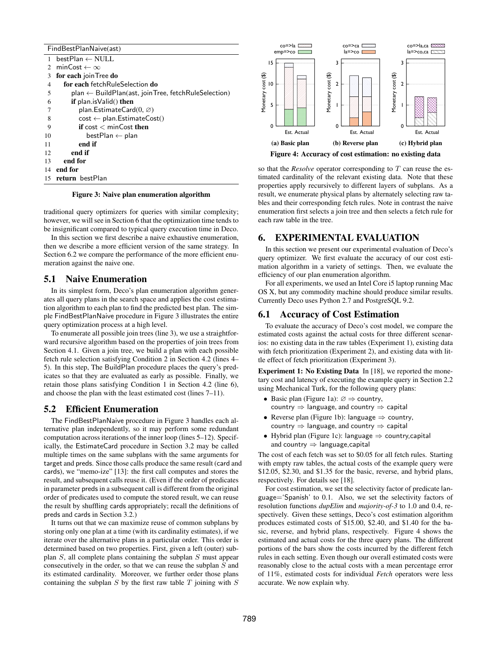| FindBestPlanNaive(ast) |                                                                |
|------------------------|----------------------------------------------------------------|
| 1                      | $bestPlan \leftarrow NULL$                                     |
| $\mathfrak{D}$         | minCost $\leftarrow \infty$                                    |
| 3                      | for each join Tree do                                          |
| $\overline{4}$         | for each fetchRuleSelection do                                 |
| 5                      | $plan \leftarrow BuildPlan(ast, joinTree, fetchRuleSelection)$ |
| 6                      | if $plan.isValid()$ then                                       |
| 7                      | plan. Estimate Card $(0, \varnothing)$                         |
| 8                      | $cost \leftarrow plan.EstimateCost()$                          |
| 9                      | if $cost < minCost$ then                                       |
| 10                     | $bestPlan \leftarrow plan$                                     |
| 11                     | end if                                                         |
| 12                     | end if                                                         |
| 13                     | end for                                                        |
| 14                     | end for                                                        |
| 15                     | return bestPlan                                                |

Figure 3: Naive plan enumeration algorithm

<span id="page-8-2"></span>traditional query optimizers for queries with similar complexity; however, we will see in Section [6](#page-8-0) that the optimization time tends to be insignificant compared to typical query execution time in Deco.

In this section we first describe a naive exhaustive enumeration, then we describe a more efficient version of the same strategy. In Section [6.2](#page-10-0) we compare the performance of the more efficient enumeration against the naive one.

#### <span id="page-8-5"></span>5.1 Naive Enumeration

In its simplest form, Deco's plan enumeration algorithm generates all query plans in the search space and applies the cost estimation algorithm to each plan to find the predicted best plan. The simple FindBestPlanNaive procedure in Figure [3](#page-8-2) illustrates the entire query optimization process at a high level.

To enumerate all possible join trees (line 3), we use a straightforward recursive algorithm based on the properties of join trees from Section [4.1.](#page-6-3) Given a join tree, we build a plan with each possible fetch rule selection satisfying Condition 2 in Section [4.2](#page-7-1) (lines 4– 5). In this step, The BuildPlan procedure places the query's predicates so that they are evaluated as early as possible. Finally, we retain those plans satisfying Condition 1 in Section [4.2](#page-7-1) (line 6), and choose the plan with the least estimated cost (lines 7–11).

#### <span id="page-8-4"></span>5.2 Efficient Enumeration

The FindBestPlanNaive procedure in Figure [3](#page-8-2) handles each alternative plan independently, so it may perform some redundant computation across iterations of the inner loop (lines 5–12). Specifically, the EstimateCard procedure in Section [3.2](#page-4-0) may be called multiple times on the same subplans with the same arguments for target and preds. Since those calls produce the same result (card and cards), we "memo-ize" [\[13\]](#page-11-14): the first call computes and stores the result, and subsequent calls reuse it. (Even if the order of predicates in parameter preds in a subsequent call is different from the original order of predicates used to compute the stored result, we can reuse the result by shuffling cards appropriately; recall the definitions of preds and cards in Section [3.2.](#page-4-0))

It turns out that we can maximize reuse of common subplans by storing only one plan at a time (with its cardinality estimates), if we iterate over the alternative plans in a particular order. This order is determined based on two properties. First, given a left (outer) subplan *S*, all complete plans containing the subplan *S* must appear consecutively in the order, so that we can reuse the subplan *S* and its estimated cardinality. Moreover, we further order those plans containing the subplan *S* by the first raw table *T* joining with *S*

<span id="page-8-3"></span>

Figure 4: Accuracy of cost estimation: no existing data

so that the *Resolve* operator corresponding to *T* can reuse the estimated cardinality of the relevant existing data. Note that these properties apply recursively to different layers of subplans. As a result, we enumerate physical plans by alternately selecting raw tables and their corresponding fetch rules. Note in contrast the naive enumeration first selects a join tree and then selects a fetch rule for each raw table in the tree.

#### <span id="page-8-0"></span>6. EXPERIMENTAL EVALUATION

In this section we present our experimental evaluation of Deco's query optimizer. We first evaluate the accuracy of our cost estimation algorithm in a variety of settings. Then, we evaluate the efficiency of our plan enumeration algorithm.

For all experiments, we used an Intel Core i5 laptop running Mac OS X, but any commodity machine should produce similar results. Currently Deco uses Python 2.7 and PostgreSQL 9.2.

## <span id="page-8-1"></span>6.1 Accuracy of Cost Estimation

To evaluate the accuracy of Deco's cost model, we compare the estimated costs against the actual costs for three different scenarios: no existing data in the raw tables (Experiment 1), existing data with fetch prioritization (Experiment 2), and existing data with little effect of fetch prioritization (Experiment 3).

Experiment 1: No Existing Data In [\[18\]](#page-11-1), we reported the monetary cost and latency of executing the example query in Section [2.2](#page-1-2) using Mechanical Turk, for the following query plans:

- Basic plan (Figure [1a\)](#page-2-0):  $\varnothing \Rightarrow$  country, country  $\Rightarrow$  language, and country  $\Rightarrow$  capital
- Reverse plan (Figure [1b\)](#page-2-0): language  $\Rightarrow$  country, country  $\Rightarrow$  language, and country  $\Rightarrow$  capital
- Hybrid plan (Figure [1c\)](#page-2-0): language  $\Rightarrow$  country, capital and country  $\Rightarrow$  language, capital

The cost of each fetch was set to \$0.05 for all fetch rules. Starting with empty raw tables, the actual costs of the example query were \$12.05, \$2.30, and \$1.35 for the basic, reverse, and hybrid plans, respectively. For details see [\[18\]](#page-11-1).

For cost estimation, we set the selectivity factor of predicate language='Spanish' to 0.1. Also, we set the selectivity factors of resolution functions *dupElim* and *majority-of-3* to 1.0 and 0.4, respectively. Given these settings, Deco's cost estimation algorithm produces estimated costs of \$15.00, \$2.40, and \$1.40 for the basic, reverse, and hybrid plans, respectively. Figure [4](#page-8-3) shows the estimated and actual costs for the three query plans. The different portions of the bars show the costs incurred by the different fetch rules in each setting. Even though our overall estimated costs were reasonably close to the actual costs with a mean percentage error of 11%, estimated costs for individual *Fetch* operators were less accurate. We now explain why.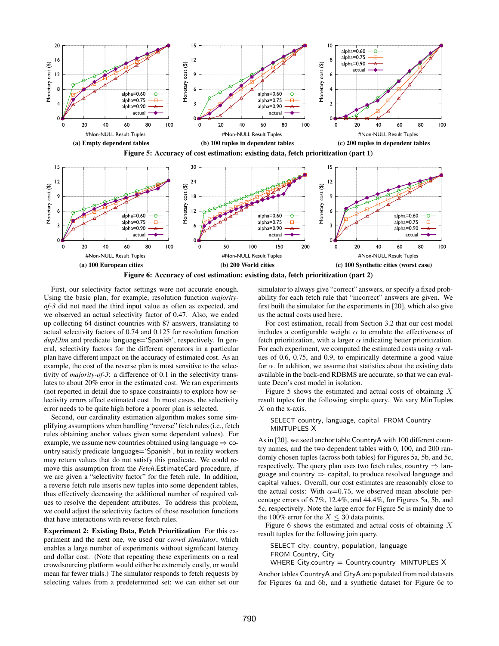<span id="page-9-1"></span><span id="page-9-0"></span>

Figure 6: Accuracy of cost estimation: existing data, fetch prioritization (part 2)

First, our selectivity factor settings were not accurate enough. Using the basic plan, for example, resolution function *majorityof-3* did not need the third input value as often as expected, and we observed an actual selectivity factor of 0.47. Also, we ended up collecting 64 distinct countries with 87 answers, translating to actual selectivity factors of 0.74 and 0.125 for resolution function *dupElim* and predicate language='Spanish', respectively. In general, selectivity factors for the different operators in a particular plan have different impact on the accuracy of estimated cost. As an example, the cost of the reverse plan is most sensitive to the selectivity of *majority-of-3*: a difference of 0.1 in the selectivity translates to about 20% error in the estimated cost. We ran experiments (not reported in detail due to space constraints) to explore how selectivity errors affect estimated cost. In most cases, the selectivity error needs to be quite high before a poorer plan is selected.

Second, our cardinality estimation algorithm makes some simplifying assumptions when handling "reverse" fetch rules (i.e., fetch rules obtaining anchor values given some dependent values). For example, we assume new countries obtained using language  $\Rightarrow$  country satisfy predicate language='Spanish', but in reality workers may return values that do not satisfy this predicate. We could remove this assumption from the *Fetch*.EstimateCard procedure, if we are given a "selectivity factor" for the fetch rule. In addition, a reverse fetch rule inserts new tuples into some dependent tables, thus effectively decreasing the additional number of required values to resolve the dependent attributes. To address this problem, we could adjust the selectivity factors of those resolution functions that have interactions with reverse fetch rules.

Experiment 2: Existing Data, Fetch Prioritization For this experiment and the next one, we used our *crowd simulator*, which enables a large number of experiments without significant latency and dollar cost. (Note that repeating these experiments on a real crowdsourcing platform would either be extremely costly, or would mean far fewer trials.) The simulator responds to fetch requests by selecting values from a predetermined set; we can either set our simulator to always give "correct" answers, or specify a fixed probability for each fetch rule that "incorrect" answers are given. We first built the simulator for the experiments in [\[20\]](#page-11-3), which also give us the actual costs used here.

For cost estimation, recall from Section [3.2](#page-4-0) that our cost model includes a configurable weight  $\alpha$  to emulate the effectiveness of fetch prioritization, with a larger  $\alpha$  indicating better prioritization. For each experiment, we computed the estimated costs using  $\alpha$  values of 0.6, 0.75, and 0.9, to empirically determine a good value for  $\alpha$ . In addition, we assume that statistics about the existing data available in the back-end RDBMS are accurate, so that we can evaluate Deco's cost model in isolation.

Figure [5](#page-9-0) shows the estimated and actual costs of obtaining *X* result tuples for the following simple query. We vary MinTuples *X* on the x-axis.

#### SELECT country, language, capital FROM Country MINTUPLES X

As in [\[20\]](#page-11-3), we seed anchor table CountryA with 100 different country names, and the two dependent tables with 0, 100, and 200 randomly chosen tuples (across both tables) for Figures [5a, 5b,](#page-9-0) and [5c,](#page-9-0) respectively. The query plan uses two fetch rules, country  $\Rightarrow$  language and country  $\Rightarrow$  capital, to produce resolved language and capital values. Overall, our cost estimates are reasonably close to the actual costs: With  $\alpha$ =0.75, we observed mean absolute percentage errors of 6.7%, 12.4%, and 44.4%, for Figures [5a, 5b,](#page-9-0) and [5c,](#page-9-0) respectively. Note the large error for Figure [5c](#page-9-0) is mainly due to the 100% error for the  $X \leq 30$  data points.

Figure [6](#page-9-1) shows the estimated and actual costs of obtaining *X* result tuples for the following join query.

SELECT city, country, population, language FROM Country, City WHERE City.country  $=$  Country.country MINTUPLES  $X$ 

Anchor tables CountryA and CityA are populated from real datasets for Figures [6a](#page-9-1) and [6b,](#page-9-1) and a synthetic dataset for Figure [6c](#page-9-1) to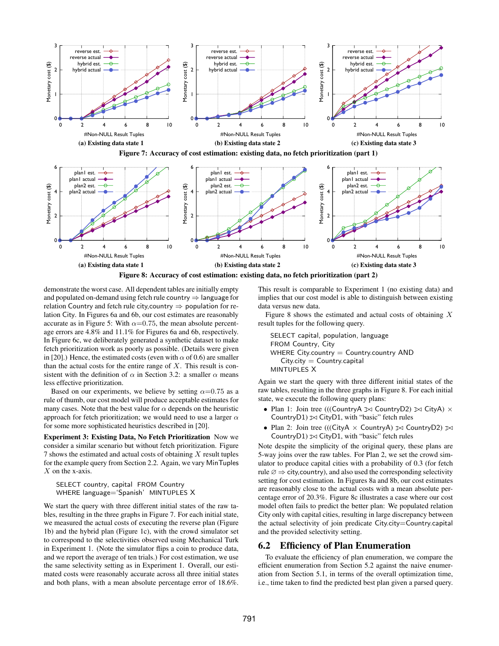<span id="page-10-2"></span><span id="page-10-1"></span>

demonstrate the worst case. All dependent tables are initially empty and populated on-demand using fetch rule country  $\Rightarrow$  language for relation Country and fetch rule city, country  $\Rightarrow$  population for relation City. In Figures [6a](#page-9-1) and [6b,](#page-9-1) our cost estimates are reasonably accurate as in Figure [5:](#page-9-0) With  $\alpha$ =0.75, the mean absolute percentage errors are 4.8% and 11.1% for Figures [6a](#page-9-1) and [6b,](#page-9-1) respectively. In Figure [6c,](#page-9-1) we deliberately generated a synthetic dataset to make fetch prioritization work as poorly as possible. (Details were given in [\[20\]](#page-11-3).) Hence, the estimated costs (even with  $\alpha$  of 0.6) are smaller than the actual costs for the entire range of *X*. This result is consistent with the definition of  $\alpha$  in Section [3.2:](#page-4-0) a smaller  $\alpha$  means less effective prioritization.

Based on our experiments, we believe by setting  $\alpha$ =0.75 as a rule of thumb, our cost model will produce acceptable estimates for many cases. Note that the best value for  $\alpha$  depends on the heuristic approach for fetch prioritization; we would need to use a larger  $\alpha$ for some more sophisticated heuristics described in [\[20\]](#page-11-3).

Experiment 3: Existing Data, No Fetch Prioritization Now we consider a similar scenario but without fetch prioritization. Figure [7](#page-10-1) shows the estimated and actual costs of obtaining *X* result tuples for the example query from Section [2.2.](#page-1-2) Again, we vary MinTuples *X* on the x-axis.

SELECT country, capital FROM Country WHERE language='Spanish' MINTUPLES X

We start the query with three different initial states of the raw tables, resulting in the three graphs in Figure [7.](#page-10-1) For each initial state, we measured the actual costs of executing the reverse plan (Figure [1b\)](#page-2-0) and the hybrid plan (Figure [1c\)](#page-2-0), with the crowd simulator set to correspond to the selectivities observed using Mechanical Turk in Experiment 1. (Note the simulator flips a coin to produce data, and we report the average of ten trials.) For cost estimation, we use the same selectivity setting as in Experiment 1. Overall, our estimated costs were reasonably accurate across all three initial states and both plans, with a mean absolute percentage error of 18.6%.

This result is comparable to Experiment 1 (no existing data) and implies that our cost model is able to distinguish between existing data versus new data.

Figure [8](#page-10-2) shows the estimated and actual costs of obtaining *X* result tuples for the following query.

SELECT capital, population, language FROM Country, City WHERE City.country  $=$  Country.country AND  $City.city = Country.capital$ MINTUPLES X

Again we start the query with three different initial states of the raw tables, resulting in the three graphs in Figure [8.](#page-10-2) For each initial state, we execute the following query plans:

- Plan 1: Join tree (((CountryA  $\bowtie$  CountryD2)  $\bowtie$  CityA)  $\times$ CountryD1)  $\bowtie$  CityD1, with "basic" fetch rules
- Plan 2: Join tree (((CityA  $\times$  CountryA)  $\bowtie$  CountryD2)  $\bowtie$ CountryD1)  $\bowtie$  CityD1, with "basic" fetch rules

Note despite the simplicity of the original query, these plans are 5-way joins over the raw tables. For Plan 2, we set the crowd simulator to produce capital cities with a probability of 0.3 (for fetch rule  $\varnothing \Rightarrow$  city, country), and also used the corresponding selectivity setting for cost estimation. In Figures [8a](#page-10-2) and [8b,](#page-10-2) our cost estimates are reasonably close to the actual costs with a mean absolute percentage error of 20.3%. Figure [8c](#page-10-2) illustrates a case where our cost model often fails to predict the better plan: We populated relation City only with capital cities, resulting in large discrepancy between the actual selectivity of join predicate City.city=Country.capital and the provided selectivity setting.

# <span id="page-10-0"></span>6.2 Efficiency of Plan Enumeration

To evaluate the efficiency of plan enumeration, we compare the efficient enumeration from Section [5.2](#page-8-4) against the naive enumeration from Section [5.1,](#page-8-5) in terms of the overall optimization time, i.e., time taken to find the predicted best plan given a parsed query.